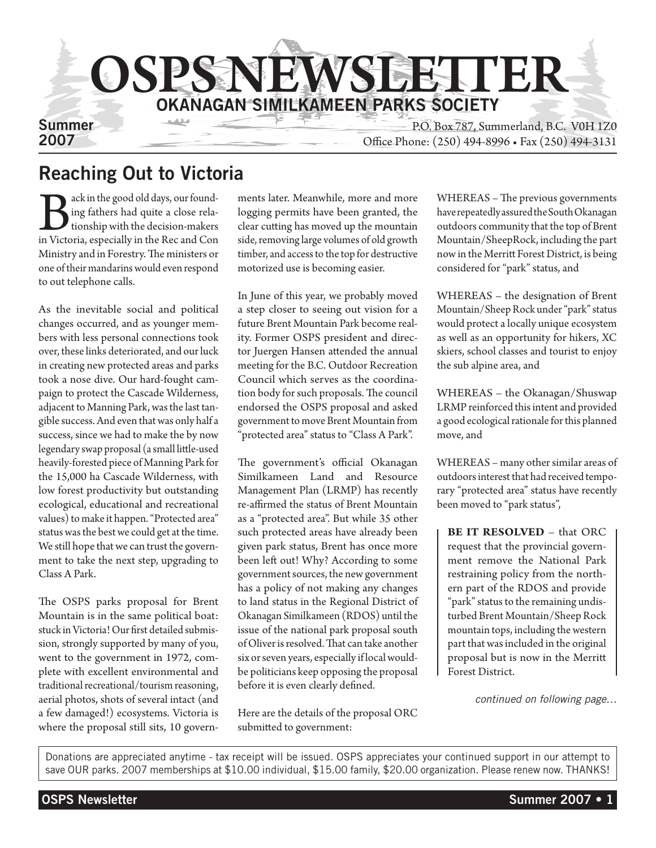

## Reaching Out to Victoria

Back in the good old days, our found-<br>ing fathers had quite a close rela-<br>tionship with the decision-makers<br>in Victoria, especially in the Rec and Con ing fathers had quite a close relationship with the decision-makers in Victoria, especially in the Rec and Con Ministry and in Forestry. The ministers or one of their mandarins would even respond to out telephone calls.

As the inevitable social and political changes occurred, and as younger members with less personal connections took over, these links deteriorated, and our luck in creating new protected areas and parks took a nose dive. Our hard-fought campaign to protect the Cascade Wilderness, adjacent to Manning Park, was the last tangible success. And even that was only half a success, since we had to make the by now legendary swap proposal (a small little-used heavily-forested piece of Manning Park for the 15,000 ha Cascade Wilderness, with low forest productivity but outstanding ecological, educational and recreational values) to make it happen. "Protected area" status was the best we could get at the time. We still hope that we can trust the government to take the next step, upgrading to Class A Park.

The OSPS parks proposal for Brent Mountain is in the same political boat: stuck in Victoria! Our first detailed submission, strongly supported by many of you, went to the government in 1972, complete with excellent environmental and traditional recreational/tourism reasoning, aerial photos, shots of several intact (and a few damaged!) ecosystems. Victoria is where the proposal still sits, 10 governments later. Meanwhile, more and more logging permits have been granted, the clear cutting has moved up the mountain side, removing large volumes of old growth timber, and access to the top for destructive motorized use is becoming easier.

In June of this year, we probably moved a step closer to seeing out vision for a future Brent Mountain Park become reality. Former OSPS president and director Juergen Hansen attended the annual meeting for the B.C. Outdoor Recreation Council which serves as the coordination body for such proposals. The council endorsed the OSPS proposal and asked government to move Brent Mountain from "protected area" status to "Class A Park".

The government's official Okanagan Similkameen Land and Resource Management Plan (LRMP) has recently re-affirmed the status of Brent Mountain as a "protected area". But while 35 other such protected areas have already been given park status, Brent has once more been left out! Why? According to some government sources, the new government has a policy of not making any changes to land status in the Regional District of Okanagan Similkameen (RDOS) until the issue of the national park proposal south of Oliver is resolved. That can take another six or seven years, especially if local wouldbe politicians keep opposing the proposal before it is even clearly defined.

Here are the details of the proposal ORC submitted to government:

WHEREAS – The previous governments have repeatedly assured the South Okanagan outdoors community that the top of Brent Mountain/SheepRock, including the part now in the Merritt Forest District, is being considered for "park" status, and

WHEREAS – the designation of Brent Mountain/Sheep Rock under "park" status would protect a locally unique ecosystem as well as an opportunity for hikers, XC skiers, school classes and tourist to enjoy the sub alpine area, and

WHEREAS – the Okanagan/Shuswap LRMP reinforced this intent and provided a good ecological rationale for this planned move, and

WHEREAS – many other similar areas of outdoors interest that had received temporary "protected area" status have recently been moved to "park status",

**BE IT RESOLVED** – that ORC request that the provincial government remove the National Park restraining policy from the northern part of the RDOS and provide "park" status to the remaining undisturbed Brent Mountain/Sheep Rock mountain tops, including the western part that was included in the original proposal but is now in the Merritt Forest District.

*continued on following page…*

Donations are appreciated anytime - tax receipt will be issued. OSPS appreciates your continued support in our attempt to save OUR parks. 2007 memberships at \$10.00 individual, \$15.00 family, \$20.00 organization. Please renew now. THANKS!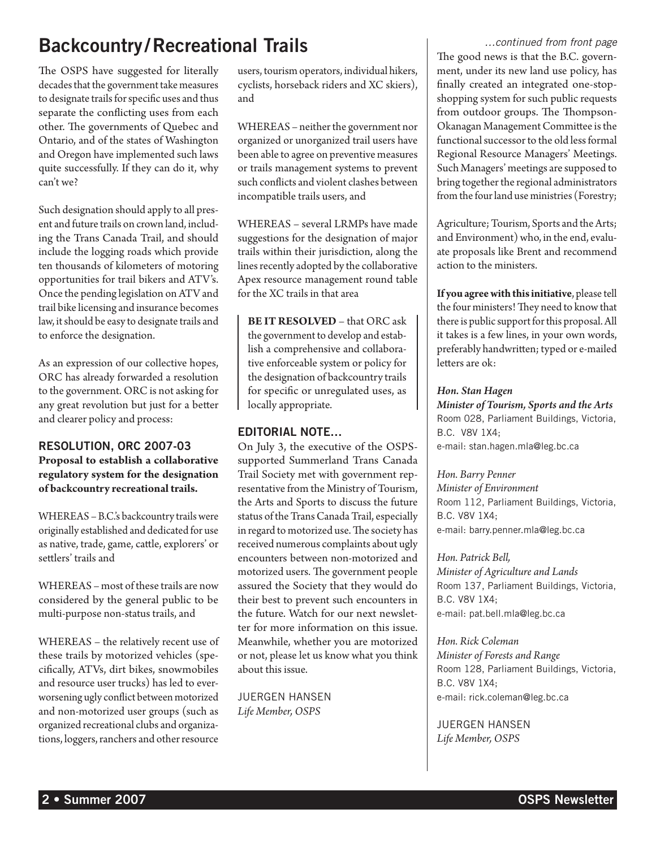# Backcountry /Recreational Trails

The OSPS have suggested for literally decades that the government take measures to designate trails for specific uses and thus separate the conflicting uses from each other. The governments of Quebec and Ontario, and of the states of Washington and Oregon have implemented such laws quite successfully. If they can do it, why can't we?

Such designation should apply to all present and future trails on crown land, including the Trans Canada Trail, and should include the logging roads which provide ten thousands of kilometers of motoring opportunities for trail bikers and ATV's. Once the pending legislation on ATV and trail bike licensing and insurance becomes law, it should be easy to designate trails and to enforce the designation.

As an expression of our collective hopes, ORC has already forwarded a resolution to the government. ORC is not asking for any great revolution but just for a better and clearer policy and process:

### RESOLUTION, ORC 2007-03 **Proposal to establish a collaborative regulatory system for the designation of backcountry recreational trails.**

WHEREAS – B.C.'s backcountry trails were originally established and dedicated for use as native, trade, game, cattle, explorers' or settlers' trails and

WHEREAS – most of these trails are now considered by the general public to be multi-purpose non-status trails, and

WHEREAS – the relatively recent use of these trails by motorized vehicles (specifically, ATVs, dirt bikes, snowmobiles and resource user trucks) has led to everworsening ugly conflict between motorized and non-motorized user groups (such as organized recreational clubs and organizations, loggers, ranchers and other resource

users, tourism operators, individual hikers, cyclists, horseback riders and XC skiers), and

WHEREAS – neither the government nor organized or unorganized trail users have been able to agree on preventive measures or trails management systems to prevent such conflicts and violent clashes between incompatible trails users, and

WHEREAS – several LRMPs have made suggestions for the designation of major trails within their jurisdiction, along the lines recently adopted by the collaborative Apex resource management round table for the XC trails in that area

**BE IT RESOLVED** – that ORC ask the government to develop and establish a comprehensive and collaborative enforceable system or policy for the designation of backcountry trails for specific or unregulated uses, as locally appropriate.

### EDITORIAL NOTE…

On July 3, the executive of the OSPSsupported Summerland Trans Canada Trail Society met with government representative from the Ministry of Tourism, the Arts and Sports to discuss the future status of the Trans Canada Trail, especially in regard to motorized use. The society has received numerous complaints about ugly encounters between non-motorized and motorized users. The government people assured the Society that they would do their best to prevent such encounters in the future. Watch for our next newsletter for more information on this issue. Meanwhile, whether you are motorized or not, please let us know what you think about this issue.

Juergen Hansen *Life Member, OSPS*

*…continued from front page* The good news is that the B.C. government, under its new land use policy, has finally created an integrated one-stopshopping system for such public requests from outdoor groups. The Thompson-Okanagan Management Committee is the functional successor to the old less formal Regional Resource Managers' Meetings. Such Managers' meetings are supposed to bring together the regional administrators from the four land use ministries (Forestry;

Agriculture; Tourism, Sports and the Arts; and Environment) who, in the end, evaluate proposals like Brent and recommend action to the ministers.

**If you agree with this initiative**, please tell the four ministers! They need to know that there is public support for this proposal. All it takes is a few lines, in your own words, preferably handwritten; typed or e-mailed letters are ok:

### *Hon. Stan Hagen*

*Minister of Tourism, Sports and the Arts* Room 028, Parliament Buildings, Victoria, B.C. V8V 1X4; e-mail: stan.hagen.mla@leg.bc.ca

*Hon. Barry Penner Minister of Environment* Room 112, Parliament Buildings, Victoria, B.C. V8V 1X4; e-mail: barry.penner.mla@leg.bc.ca

*Hon. Patrick Bell, Minister of Agriculture and Lands* Room 137, Parliament Buildings, Victoria, B.C. V8V 1X4; e-mail: pat.bell.mla@leg.bc.ca

*Hon. Rick Coleman Minister of Forests and Range* Room 128, Parliament Buildings, Victoria, B.C. V8V 1X4; e-mail: rick.coleman@leg.bc.ca

Juergen Hansen *Life Member, OSPS*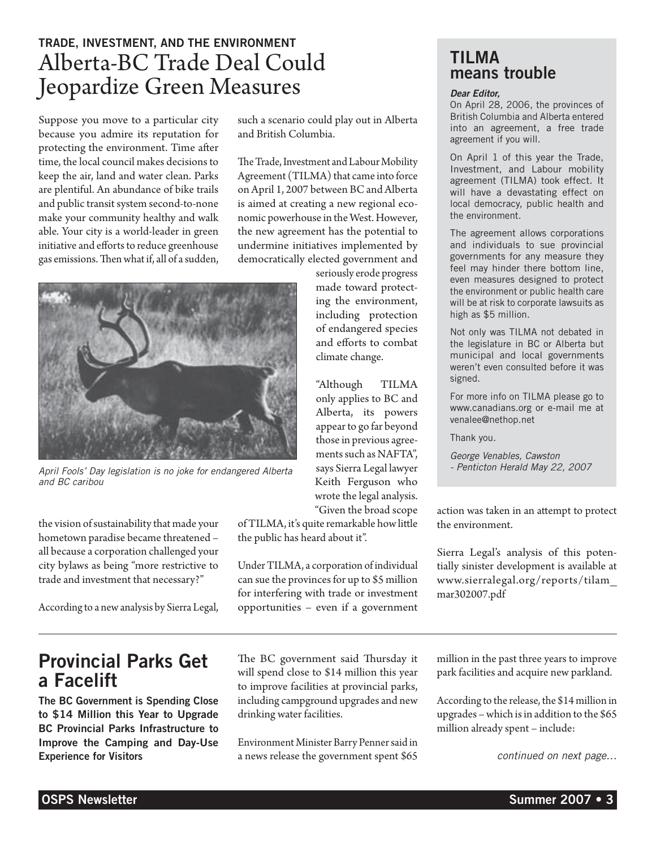## TRADE, INVESTMENT, AND THE ENVIRONMENT Alberta-BC Trade Deal Could Jeopardize Green Measures

Suppose you move to a particular city because you admire its reputation for protecting the environment. Time after time, the local council makes decisions to keep the air, land and water clean. Parks are plentiful. An abundance of bike trails and public transit system second-to-none make your community healthy and walk able. Your city is a world-leader in green initiative and efforts to reduce greenhouse gas emissions. Then what if, all of a sudden, such a scenario could play out in Alberta and British Columbia.

The Trade, Investment and Labour Mobility Agreement (TILMA) that came into force on April 1, 2007 between BC and Alberta is aimed at creating a new regional economic powerhouse in the West. However, the new agreement has the potential to undermine initiatives implemented by democratically elected government and

> seriously erode progress made toward protecting the environment, including protection of endangered species and efforts to combat climate change.

"Although TILMA only applies to BC and Alberta, its powers appear to go far beyond those in previous agreements such as NAFTA", says Sierra Legal lawyer Keith Ferguson who wrote the legal analysis. "Given the broad scope

of TILMA, it's quite remarkable how little the public has heard about it".

Under TILMA, a corporation of individual can sue the provinces for up to \$5 million for interfering with trade or investment opportunities – even if a government

The BC government said Thursday it will spend close to \$14 million this year to improve facilities at provincial parks, including campground upgrades and new drinking water facilities.

Environment Minister Barry Penner said in a news release the government spent \$65

### TILMA means trouble

#### *Dear Editor,*

On April 28, 2006, the provinces of British Columbia and Alberta entered into an agreement, a free trade agreement if you will.

On April 1 of this year the Trade, Investment, and Labour mobility agreement (TILMA) took effect. It will have a devastating effect on local democracy, public health and the environment.

The agreement allows corporations and individuals to sue provincial governments for any measure they feel may hinder there bottom line, even measures designed to protect the environment or public health care will be at risk to corporate lawsuits as high as \$5 million.

Not only was TILMA not debated in the legislature in BC or Alberta but municipal and local governments weren't even consulted before it was signed.

For more info on TILMA please go to www.canadians.org or e-mail me at venalee@nethop.net

Thank you.

*George Venables, Cawston - Penticton Herald May 22, 2007*

action was taken in an attempt to protect the environment.

Sierra Legal's analysis of this potentially sinister development is available at www.sierralegal.org/reports/tilam\_ mar302007.pdf

million in the past three years to improve park facilities and acquire new parkland.

According to the release, the \$14 million in upgrades – which is in addition to the \$65 million already spent – include:

*continued on next page…*



*April Fools' Day legislation is no joke for endangered Alberta and BC caribou*

the vision of sustainability that made your hometown paradise became threatened – all because a corporation challenged your city bylaws as being "more restrictive to trade and investment that necessary?"

According to a new analysis by Sierra Legal,

## Provincial Parks Get a Facelift

The BC Government is Spending Close to \$14 Million this Year to Upgrade BC Provincial Parks Infrastructure to Improve the Camping and Day-Use Experience for Visitors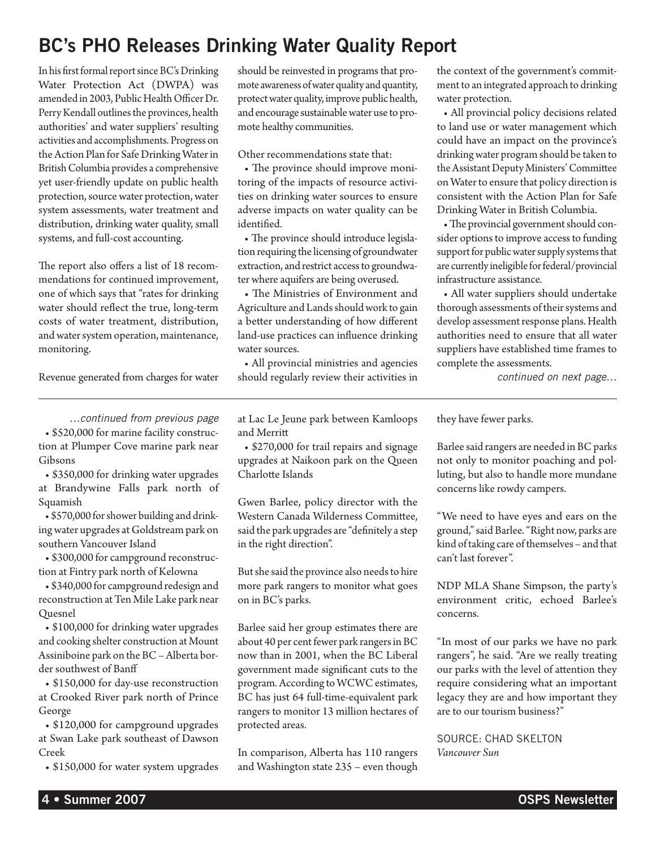# BC's PHO Releases Drinking Water Quality Report

In his first formal report since BC's Drinking Water Protection Act (DWPA) was amended in 2003, Public Health Officer Dr. Perry Kendall outlines the provinces, health authorities' and water suppliers' resulting activities and accomplishments. Progress on the Action Plan for Safe Drinking Water in British Columbia provides a comprehensive yet user-friendly update on public health protection, source water protection, water system assessments, water treatment and distribution, drinking water quality, small systems, and full-cost accounting.

The report also offers a list of 18 recommendations for continued improvement, one of which says that "rates for drinking water should reflect the true, long-term costs of water treatment, distribution, and water system operation, maintenance, monitoring.

Revenue generated from charges for water

should be reinvested in programs that promote awareness of water quality and quantity, protect water quality, improve public health, and encourage sustainable water use to promote healthy communities.

Other recommendations state that:

• The province should improve monitoring of the impacts of resource activities on drinking water sources to ensure adverse impacts on water quality can be identified.

• The province should introduce legislation requiring the licensing of groundwater extraction, and restrict access to groundwater where aquifers are being overused.

• The Ministries of Environment and Agriculture and Lands should work to gain a better understanding of how different land-use practices can influence drinking water sources.

• All provincial ministries and agencies should regularly review their activities in the context of the government's commitment to an integrated approach to drinking water protection.

• All provincial policy decisions related to land use or water management which could have an impact on the province's drinking water program should be taken to the Assistant Deputy Ministers' Committee on Water to ensure that policy direction is consistent with the Action Plan for Safe Drinking Water in British Columbia.

• The provincial government should consider options to improve access to funding support for public water supply systems that are currently ineligible for federal/provincial infrastructure assistance.

• All water suppliers should undertake thorough assessments of their systems and develop assessment response plans. Health authorities need to ensure that all water suppliers have established time frames to complete the assessments.

*continued on next page…*

*…continued from previous page*

• \$520,000 for marine facility construction at Plumper Cove marine park near Gibsons

• \$350,000 for drinking water upgrades at Brandywine Falls park north of Squamish

• \$570,000 for shower building and drinking water upgrades at Goldstream park on southern Vancouver Island

• \$300,000 for campground reconstruction at Fintry park north of Kelowna

• \$340,000 for campground redesign and reconstruction at Ten Mile Lake park near Quesnel

• \$100,000 for drinking water upgrades and cooking shelter construction at Mount Assiniboine park on the BC – Alberta border southwest of Banff

• \$150,000 for day-use reconstruction at Crooked River park north of Prince George

• \$120,000 for campground upgrades at Swan Lake park southeast of Dawson Creek

• \$150,000 for water system upgrades

at Lac Le Jeune park between Kamloops and Merritt

• \$270,000 for trail repairs and signage upgrades at Naikoon park on the Queen Charlotte Islands

Gwen Barlee, policy director with the Western Canada Wilderness Committee, said the park upgrades are "definitely a step in the right direction".

But she said the province also needs to hire more park rangers to monitor what goes on in BC's parks.

Barlee said her group estimates there are about 40 per cent fewer park rangers in BC now than in 2001, when the BC Liberal government made significant cuts to the program. According to WCWC estimates, BC has just 64 full-time-equivalent park rangers to monitor 13 million hectares of protected areas.

In comparison, Alberta has 110 rangers and Washington state 235 – even though

they have fewer parks.

Barlee said rangers are needed in BC parks not only to monitor poaching and polluting, but also to handle more mundane concerns like rowdy campers.

"We need to have eyes and ears on the ground," said Barlee. "Right now, parks are kind of taking care of themselves – and that can't last forever".

NDP MLA Shane Simpson, the party's environment critic, echoed Barlee's concerns.

"In most of our parks we have no park rangers", he said. "Are we really treating our parks with the level of attention they require considering what an important legacy they are and how important they are to our tourism business?"

source: Chad Skelton *Vancouver Sun*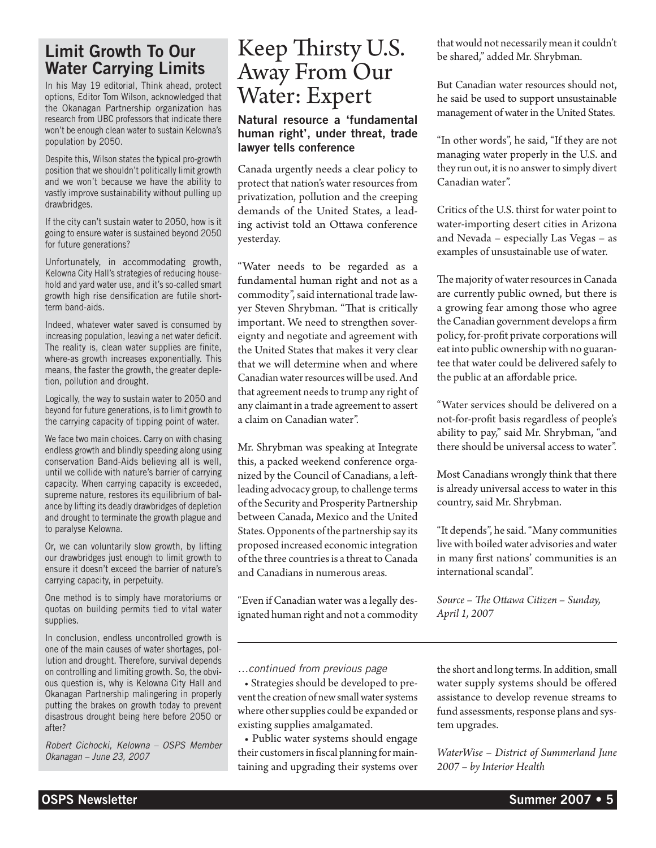### Limit Growth To Our Water Carrying Limits

In his May 19 editorial, Think ahead, protect options, Editor Tom Wilson, acknowledged that the Okanagan Partnership organization has research from UBC professors that indicate there won't be enough clean water to sustain Kelowna's population by 2050.

Despite this, Wilson states the typical pro-growth position that we shouldn't politically limit growth and we won't because we have the ability to vastly improve sustainability without pulling up drawbridges.

If the city can't sustain water to 2050, how is it going to ensure water is sustained beyond 2050 for future generations?

Unfortunately, in accommodating growth, Kelowna City Hall's strategies of reducing household and yard water use, and it's so-called smart growth high rise densification are futile shortterm band-aids.

Indeed, whatever water saved is consumed by increasing population, leaving a net water deficit. The reality is, clean water supplies are finite, where-as growth increases exponentially. This means, the faster the growth, the greater depletion, pollution and drought.

Logically, the way to sustain water to 2050 and beyond for future generations, is to limit growth to the carrying capacity of tipping point of water.

We face two main choices. Carry on with chasing endless growth and blindly speeding along using conservation Band-Aids believing all is well, until we collide with nature's barrier of carrying capacity. When carrying capacity is exceeded, supreme nature, restores its equilibrium of balance by lifting its deadly drawbridges of depletion and drought to terminate the growth plague and to paralyse Kelowna.

Or, we can voluntarily slow growth, by lifting our drawbridges just enough to limit growth to ensure it doesn't exceed the barrier of nature's carrying capacity, in perpetuity.

One method is to simply have moratoriums or quotas on building permits tied to vital water supplies.

In conclusion, endless uncontrolled growth is one of the main causes of water shortages, pollution and drought. Therefore, survival depends on controlling and limiting growth. So, the obvious question is, why is Kelowna City Hall and Okanagan Partnership malingering in properly putting the brakes on growth today to prevent disastrous drought being here before 2050 or after?

*Robert Cichocki, Kelowna – OSPS Member Okanagan – June 23, 2007*

# Keep Thirsty U.S. Away From Our Water: Expert

### Natural resource a 'fundamental human right', under threat, trade lawyer tells conference

Canada urgently needs a clear policy to protect that nation's water resources from privatization, pollution and the creeping demands of the United States, a leading activist told an Ottawa conference yesterday.

"Water needs to be regarded as a fundamental human right and not as a commodity", said international trade lawyer Steven Shrybman. "That is critically important. We need to strengthen sovereignty and negotiate and agreement with the United States that makes it very clear that we will determine when and where Canadian water resources will be used. And that agreement needs to trump any right of any claimant in a trade agreement to assert a claim on Canadian water".

Mr. Shrybman was speaking at Integrate this, a packed weekend conference organized by the Council of Canadians, a leftleading advocacy group, to challenge terms of the Security and Prosperity Partnership between Canada, Mexico and the United States. Opponents of the partnership say its proposed increased economic integration of the three countries is a threat to Canada and Canadians in numerous areas.

"Even if Canadian water was a legally designated human right and not a commodity

*…continued from previous page*

• Strategies should be developed to prevent the creation of new small water systems where other supplies could be expanded or existing supplies amalgamated.

• Public water systems should engage their customers in fiscal planning for maintaining and upgrading their systems over that would not necessarily mean it couldn't be shared," added Mr. Shrybman.

But Canadian water resources should not, he said be used to support unsustainable management of water in the United States.

"In other words", he said, "If they are not managing water properly in the U.S. and they run out, it is no answer to simply divert Canadian water".

Critics of the U.S. thirst for water point to water-importing desert cities in Arizona and Nevada – especially Las Vegas – as examples of unsustainable use of water.

The majority of water resources in Canada are currently public owned, but there is a growing fear among those who agree the Canadian government develops a firm policy, for-profit private corporations will eat into public ownership with no guarantee that water could be delivered safely to the public at an affordable price.

"Water services should be delivered on a not-for-profit basis regardless of people's ability to pay," said Mr. Shrybman, "and there should be universal access to water".

Most Canadians wrongly think that there is already universal access to water in this country, said Mr. Shrybman.

"It depends", he said. "Many communities live with boiled water advisories and water in many first nations' communities is an international scandal".

*Source – The Ottawa Citizen – Sunday, April 1, 2007*

the short and long terms. In addition, small water supply systems should be offered assistance to develop revenue streams to fund assessments, response plans and system upgrades.

*WaterWise – District of Summerland June 2007 – by Interior Health*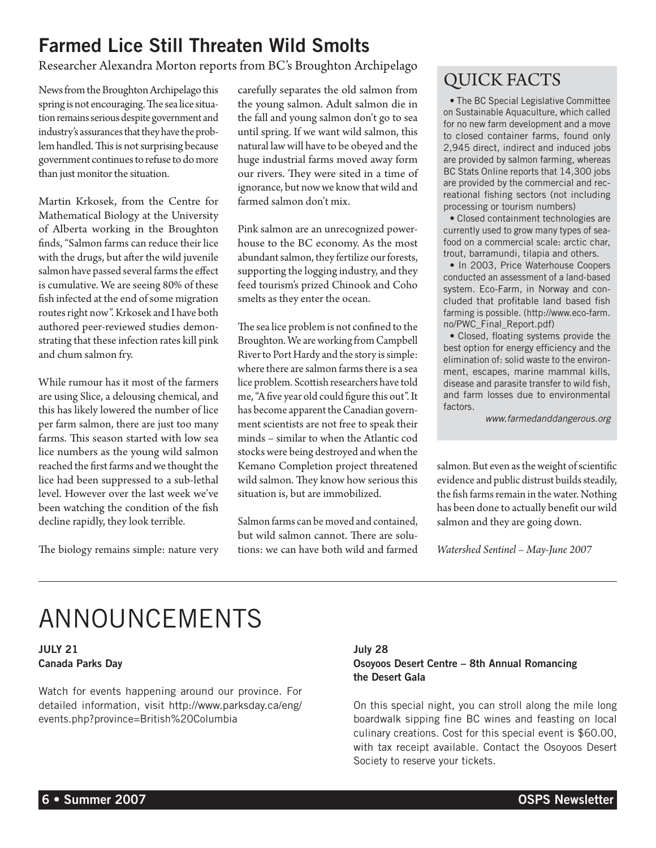# Farmed Lice Still Threaten Wild Smolts

Researcher Alexandra Morton reports from BC's Broughton Archipelago

News from the Broughton Archipelago this spring is not encouraging. The sea lice situation remains serious despite government and industry's assurances that they have the problem handled. This is not surprising because government continues to refuse to do more than just monitor the situation.

Martin Krkosek, from the Centre for Mathematical Biology at the University of Alberta working in the Broughton finds, "Salmon farms can reduce their lice with the drugs, but after the wild juvenile salmon have passed several farms the effect is cumulative. We are seeing 80% of these fish infected at the end of some migration routes right now". Krkosek and I have both authored peer-reviewed studies demonstrating that these infection rates kill pink and chum salmon fry.

While rumour has it most of the farmers are using Slice, a delousing chemical, and this has likely lowered the number of lice per farm salmon, there are just too many farms. This season started with low sea lice numbers as the young wild salmon reached the first farms and we thought the lice had been suppressed to a sub-lethal level. However over the last week we've been watching the condition of the fish decline rapidly, they look terrible.

The biology remains simple: nature very

carefully separates the old salmon from the young salmon. Adult salmon die in the fall and young salmon don't go to sea until spring. If we want wild salmon, this natural law will have to be obeyed and the huge industrial farms moved away form our rivers. They were sited in a time of ignorance, but now we know that wild and farmed salmon don't mix.

Pink salmon are an unrecognized powerhouse to the BC economy. As the most abundant salmon, they fertilize our forests, supporting the logging industry, and they feed tourism's prized Chinook and Coho smelts as they enter the ocean.

The sea lice problem is not confined to the Broughton. We are working from Campbell River to Port Hardy and the story is simple: where there are salmon farms there is a sea lice problem. Scottish researchers have told me, "A five year old could figure this out". It has become apparent the Canadian government scientists are not free to speak their minds – similar to when the Atlantic cod stocks were being destroyed and when the Kemano Completion project threatened wild salmon. They know how serious this situation is, but are immobilized.

Salmon farms can be moved and contained, but wild salmon cannot. There are solutions: we can have both wild and farmed

## QUICK FACTS

• The BC Special Legislative Committee on Sustainable Aquaculture, which called for no new farm development and a move to closed container farms, found only 2,945 direct, indirect and induced jobs are provided by salmon farming, whereas BC Stats Online reports that 14,300 jobs are provided by the commercial and recreational fishing sectors (not including processing or tourism numbers)

• Closed containment technologies are currently used to grow many types of seafood on a commercial scale: arctic char, trout, barramundi, tilapia and others.

• In 2003, Price Waterhouse Coopers conducted an assessment of a land-based system. Eco-Farm, in Norway and concluded that profitable land based fish farming is possible. (http://www.eco-farm. no/PWC\_Final\_Report.pdf)

• Closed, floating systems provide the best option for energy efficiency and the elimination of: solid waste to the environment, escapes, marine mammal kills, disease and parasite transfer to wild fish, and farm losses due to environmental factors.

*www.farmedanddangerous.org*

salmon. But even as the weight of scientific evidence and public distrust builds steadily, the fish farms remain in the water. Nothing has been done to actually benefit our wild salmon and they are going down.

*Watershed Sentinel – May-June 2007*

# ANNOUNCEMENTS

### JULY 21 Canada Parks Day

Watch for events happening around our province. For detailed information, visit http://www.parksday.ca/eng/ events.php?province=British%20Columbia

### July 28 Osoyoos Desert Centre – 8th Annual Romancing the Desert Gala

On this special night, you can stroll along the mile long boardwalk sipping fine BC wines and feasting on local culinary creations. Cost for this special event is \$60.00, with tax receipt available. Contact the Osoyoos Desert Society to reserve your tickets.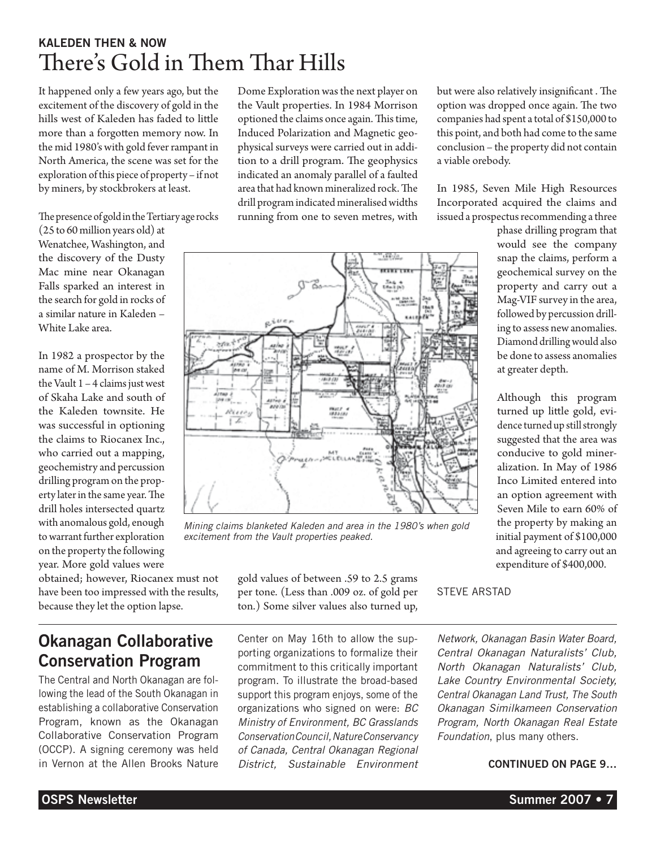## Kaleden then & now There's Gold in Them Thar Hills

It happened only a few years ago, but the excitement of the discovery of gold in the hills west of Kaleden has faded to little more than a forgotten memory now. In the mid 1980's with gold fever rampant in North America, the scene was set for the exploration of this piece of property – if not by miners, by stockbrokers at least.

The presence of gold in the Tertiary age rocks

(25 to 60 million years old) at Wenatchee, Washington, and the discovery of the Dusty Mac mine near Okanagan Falls sparked an interest in the search for gold in rocks of a similar nature in Kaleden – White Lake area.

In 1982 a prospector by the name of M. Morrison staked the Vault 1 – 4 claims just west of Skaha Lake and south of the Kaleden townsite. He was successful in optioning the claims to Riocanex Inc., who carried out a mapping, geochemistry and percussion drilling program on the property later in the same year. The drill holes intersected quartz with anomalous gold, enough to warrant further exploration on the property the following year. More gold values were

obtained; however, Riocanex must not have been too impressed with the results, because they let the option lapse.

Dome Exploration was the next player on the Vault properties. In 1984 Morrison optioned the claims once again. This time, Induced Polarization and Magnetic geophysical surveys were carried out in addition to a drill program. The geophysics indicated an anomaly parallel of a faulted area that had known mineralized rock. The drill program indicated mineralised widths running from one to seven metres, with



*Mining claims blanketed Kaleden and area in the 1980's when gold excitement from the Vault properties peaked.*

gold values of between .59 to 2.5 grams per tone. (Less than .009 oz. of gold per ton.) Some silver values also turned up,

STEVE ARSTAD

*Network, Okanagan Basin Water Board, Central Okanagan Naturalists' Club, North Okanagan Naturalists' Club, Lake Country Environmental Society, Central Okanagan Land Trust, The South Okanagan Similkameen Conservation Program, North Okanagan Real Estate Foundation*, plus many others.

but were also relatively insignificant . The option was dropped once again. The two companies had spent a total of \$150,000 to this point, and both had come to the same conclusion – the property did not contain

In 1985, Seven Mile High Resources Incorporated acquired the claims and issued a prospectus recommending a three

at greater depth.

Although this program turned up little gold, evidence turned up still strongly suggested that the area was conducive to gold mineralization. In May of 1986 Inco Limited entered into an option agreement with Seven Mile to earn 60% of the property by making an initial payment of \$100,000 and agreeing to carry out an expenditure of \$400,000.

phase drilling program that would see the company snap the claims, perform a geochemical survey on the property and carry out a Mag-VIF survey in the area, followed by percussion drilling to assess new anomalies. Diamond drilling would also be done to assess anomalies

a viable orebody.

### CONTINUED ON PAGE 9…

## Okanagan Collaborative Conservation Program

The Central and North Okanagan are following the lead of the South Okanagan in establishing a collaborative Conservation Program, known as the Okanagan Collaborative Conservation Program (OCCP). A signing ceremony was held in Vernon at the Allen Brooks Nature Center on May 16th to allow the supporting organizations to formalize their commitment to this critically important program. To illustrate the broad-based support this program enjoys, some of the organizations who signed on were: *BC Ministry of Environment, BC Grasslands Conservation Council, Nature Conservancy of Canada, Central Okanagan Regional District, Sustainable Environment*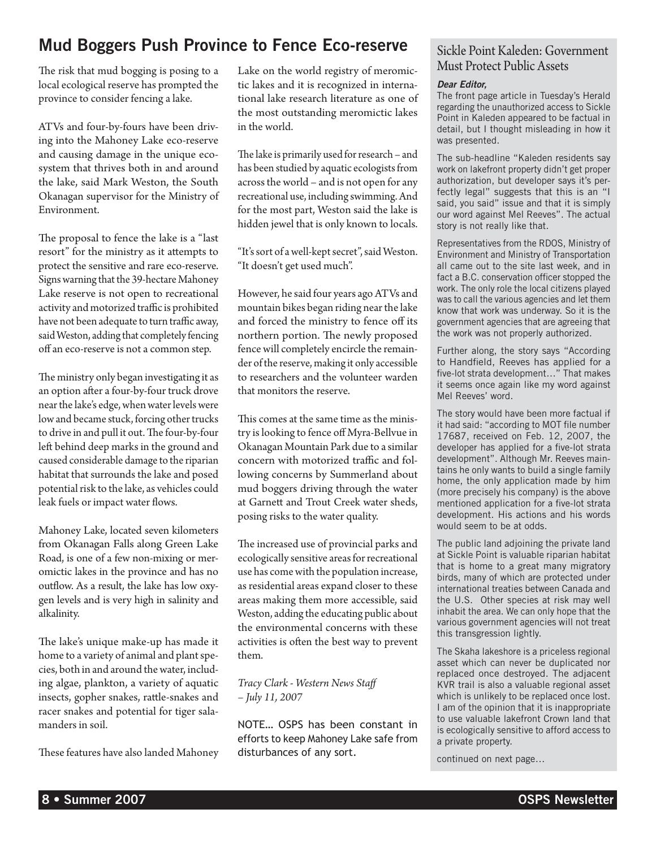## Mud Boggers Push Province to Fence Eco-reserve

The risk that mud bogging is posing to a local ecological reserve has prompted the province to consider fencing a lake.

ATVs and four-by-fours have been driving into the Mahoney Lake eco-reserve and causing damage in the unique ecosystem that thrives both in and around the lake, said Mark Weston, the South Okanagan supervisor for the Ministry of Environment.

The proposal to fence the lake is a "last resort" for the ministry as it attempts to protect the sensitive and rare eco-reserve. Signs warning that the 39-hectare Mahoney Lake reserve is not open to recreational activity and motorized traffic is prohibited have not been adequate to turn traffic away, said Weston, adding that completely fencing off an eco-reserve is not a common step.

The ministry only began investigating it as an option after a four-by-four truck drove near the lake's edge, when water levels were low and became stuck, forcing other trucks to drive in and pull it out. The four-by-four left behind deep marks in the ground and caused considerable damage to the riparian habitat that surrounds the lake and posed potential risk to the lake, as vehicles could leak fuels or impact water flows.

Mahoney Lake, located seven kilometers from Okanagan Falls along Green Lake Road, is one of a few non-mixing or meromictic lakes in the province and has no outflow. As a result, the lake has low oxygen levels and is very high in salinity and alkalinity.

The lake's unique make-up has made it home to a variety of animal and plant species, both in and around the water, including algae, plankton, a variety of aquatic insects, gopher snakes, rattle-snakes and racer snakes and potential for tiger salamanders in soil.

These features have also landed Mahoney

Lake on the world registry of meromictic lakes and it is recognized in international lake research literature as one of the most outstanding meromictic lakes in the world.

The lake is primarily used for research – and has been studied by aquatic ecologists from across the world – and is not open for any recreational use, including swimming. And for the most part, Weston said the lake is hidden jewel that is only known to locals.

"It's sort of a well-kept secret", said Weston. "It doesn't get used much".

However, he said four years ago ATVs and mountain bikes began riding near the lake and forced the ministry to fence off its northern portion. The newly proposed fence will completely encircle the remainder of the reserve, making it only accessible to researchers and the volunteer warden that monitors the reserve.

This comes at the same time as the ministry is looking to fence off Myra-Bellvue in Okanagan Mountain Park due to a similar concern with motorized traffic and following concerns by Summerland about mud boggers driving through the water at Garnett and Trout Creek water sheds, posing risks to the water quality.

The increased use of provincial parks and ecologically sensitive areas for recreational use has come with the population increase, as residential areas expand closer to these areas making them more accessible, said Weston, adding the educating public about the environmental concerns with these activities is often the best way to prevent them.

### *Tracy Clark - Western News Staff – July 11, 2007*

NOTE… OSPS has been constant in efforts to keep Mahoney Lake safe from disturbances of any sort.

### Sickle Point Kaleden: Government Must Protect Public Assets

### *Dear Editor,*

The front page article in Tuesday's Herald regarding the unauthorized access to Sickle Point in Kaleden appeared to be factual in detail, but I thought misleading in how it was presented.

The sub-headline "Kaleden residents say work on lakefront property didn't get proper authorization, but developer says it's perfectly legal" suggests that this is an "I said, you said" issue and that it is simply our word against Mel Reeves". The actual story is not really like that.

Representatives from the RDOS, Ministry of Environment and Ministry of Transportation all came out to the site last week, and in fact a B.C. conservation officer stopped the work. The only role the local citizens played was to call the various agencies and let them know that work was underway. So it is the government agencies that are agreeing that the work was not properly authorized.

Further along, the story says "According to Handfield, Reeves has applied for a five-lot strata development…" That makes it seems once again like my word against Mel Reeves' word.

The story would have been more factual if it had said: "according to MOT file number 17687, received on Feb. 12, 2007, the developer has applied for a five-lot strata development". Although Mr. Reeves maintains he only wants to build a single family home, the only application made by him (more precisely his company) is the above mentioned application for a five-lot strata development. His actions and his words would seem to be at odds.

The public land adjoining the private land at Sickle Point is valuable riparian habitat that is home to a great many migratory birds, many of which are protected under international treaties between Canada and the U.S. Other species at risk may well inhabit the area. We can only hope that the various government agencies will not treat this transgression lightly.

The Skaha lakeshore is a priceless regional asset which can never be duplicated nor replaced once destroyed. The adjacent KVR trail is also a valuable regional asset which is unlikely to be replaced once lost. I am of the opinion that it is inappropriate to use valuable lakefront Crown land that is ecologically sensitive to afford access to a private property.

continued on next page…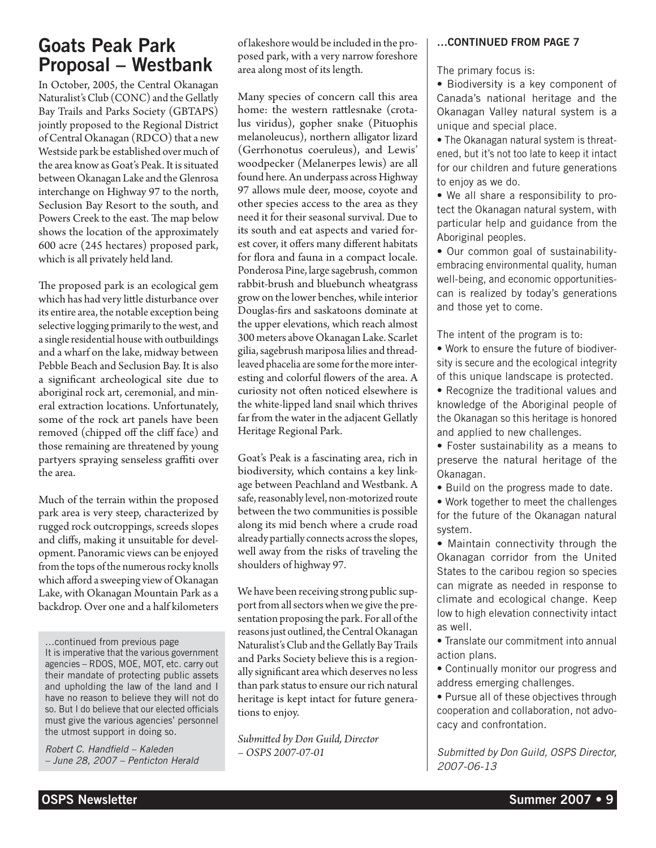## Goats Peak Park Proposal – Westbank

In October, 2005, the Central Okanagan Naturalist's Club (CONC) and the Gellatly Bay Trails and Parks Society (GBTAPS) jointly proposed to the Regional District of Central Okanagan (RDCO) that a new Westside park be established over much of the area know as Goat's Peak. It is situated between Okanagan Lake and the Glenrosa interchange on Highway 97 to the north, Seclusion Bay Resort to the south, and Powers Creek to the east. The map below shows the location of the approximately 600 acre (245 hectares) proposed park, which is all privately held land.

The proposed park is an ecological gem which has had very little disturbance over its entire area, the notable exception being selective logging primarily to the west, and a single residential house with outbuildings and a wharf on the lake, midway between Pebble Beach and Seclusion Bay. It is also a significant archeological site due to aboriginal rock art, ceremonial, and mineral extraction locations. Unfortunately, some of the rock art panels have been removed (chipped off the cliff face) and those remaining are threatened by young partyers spraying senseless graffiti over the area.

Much of the terrain within the proposed park area is very steep, characterized by rugged rock outcroppings, screeds slopes and cliffs, making it unsuitable for development. Panoramic views can be enjoyed from the tops of the numerous rocky knolls which afford a sweeping view of Okanagan Lake, with Okanagan Mountain Park as a backdrop. Over one and a half kilometers

…continued from previous page It is imperative that the various government agencies – RDOS, MOE, MOT, etc. carry out their mandate of protecting public assets and upholding the law of the land and I have no reason to believe they will not do so. But I do believe that our elected officials must give the various agencies' personnel the utmost support in doing so.

*Robert C. Handfield – Kaleden – June 28, 2007 – Penticton Herald* of lakeshore would be included in the proposed park, with a very narrow foreshore area along most of its length.

Many species of concern call this area home: the western rattlesnake (crotalus viridus), gopher snake (Pituophis melanoleucus), northern alligator lizard (Gerrhonotus coeruleus), and Lewis' woodpecker (Melanerpes lewis) are all found here. An underpass across Highway 97 allows mule deer, moose, coyote and other species access to the area as they need it for their seasonal survival. Due to its south and eat aspects and varied forest cover, it offers many different habitats for flora and fauna in a compact locale. Ponderosa Pine, large sagebrush, common rabbit-brush and bluebunch wheatgrass grow on the lower benches, while interior Douglas-firs and saskatoons dominate at the upper elevations, which reach almost 300 meters above Okanagan Lake. Scarlet gilia, sagebrush mariposa lilies and threadleaved phacelia are some for the more interesting and colorful flowers of the area. A curiosity not often noticed elsewhere is the white-lipped land snail which thrives far from the water in the adjacent Gellatly Heritage Regional Park.

Goat's Peak is a fascinating area, rich in biodiversity, which contains a key linkage between Peachland and Westbank. A safe, reasonably level, non-motorized route between the two communities is possible along its mid bench where a crude road already partially connects across the slopes, well away from the risks of traveling the shoulders of highway 97.

We have been receiving strong public support from all sectors when we give the presentation proposing the park. For all of the reasons just outlined, the Central Okanagan Naturalist's Club and the Gellatly Bay Trails and Parks Society believe this is a regionally significant area which deserves no less than park status to ensure our rich natural heritage is kept intact for future generations to enjoy.

*Submitted by Don Guild, Director – OSPS 2007-07-01*

### …CONTINUED FROM PAGE 7

The primary focus is:

• Biodiversity is a key component of Canada's national heritage and the Okanagan Valley natural system is a unique and special place.

• The Okanagan natural system is threatened, but it's not too late to keep it intact for our children and future generations to enjoy as we do.

• We all share a responsibility to protect the Okanagan natural system, with particular help and guidance from the Aboriginal peoples.

• Our common goal of sustainabilityembracing environmental quality, human well-being, and economic opportunitiescan is realized by today's generations and those yet to come.

The intent of the program is to:

• Work to ensure the future of biodiversity is secure and the ecological integrity of this unique landscape is protected.

• Recognize the traditional values and knowledge of the Aboriginal people of the Okanagan so this heritage is honored and applied to new challenges.

• Foster sustainability as a means to preserve the natural heritage of the Okanagan.

• Build on the progress made to date.

• Work together to meet the challenges for the future of the Okanagan natural system.

• Maintain connectivity through the Okanagan corridor from the United States to the caribou region so species can migrate as needed in response to climate and ecological change. Keep low to high elevation connectivity intact as well.

• Translate our commitment into annual action plans.

• Continually monitor our progress and address emerging challenges.

• Pursue all of these objectives through cooperation and collaboration, not advocacy and confrontation.

*Submitted by Don Guild, OSPS Director, 2007-06-13*